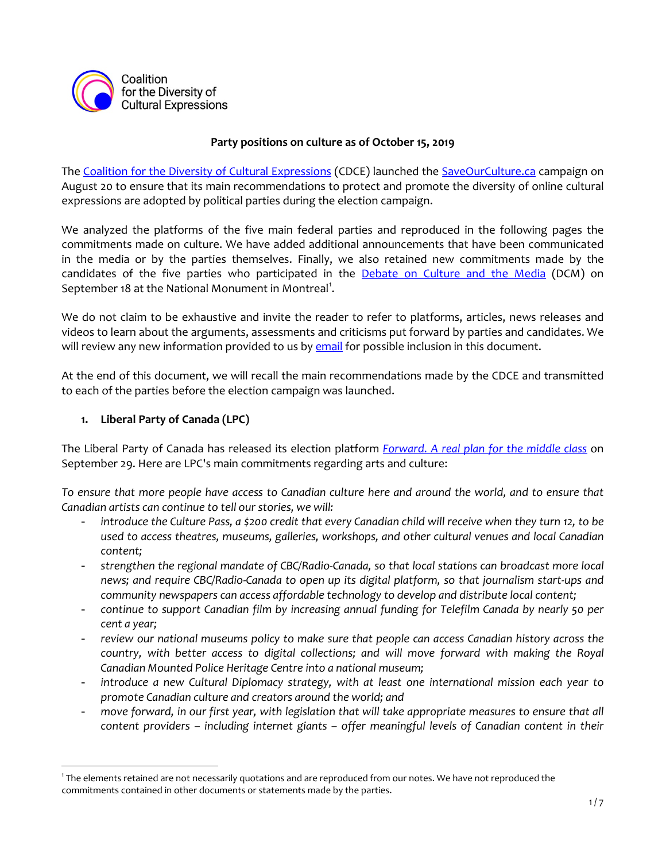

### **Party positions on culture as of October 15, 2019**

The [Coalition for the Diversity of Cultural Expressions](https://cdec-cdce.org/en/) (CDCE) launched the [SaveOurCulture.ca](https://saveourculture.ca/) campaign on August 20 to ensure that its main recommendations to protect and promote the diversity of online cultural expressions are adopted by political parties during the election campaign.

We analyzed the platforms of the five main federal parties and reproduced in the following pages the commitments made on culture. We have added additional announcements that have been communicated in the media or by the parties themselves. Finally, we also retained new commitments made by the candidates of the five parties who participated in the **[Debate on Culture and the Media](http://www.cpac.ca/en/programs/public-record/episodes/66075791)** (DCM) on September [1](#page-0-0)8 at the National Monument in Montreal<sup>1</sup>.

We do not claim to be exhaustive and invite the reader to refer to platforms, articles, news releases and videos to learn about the arguments, assessments and criticisms put forward by parties and candidates. We will review any new information provided to us by [email](mailto:coalition@cdc-ccd.org) for possible inclusion in this document.

At the end of this document, we will recall the main recommendations made by the CDCE and transmitted to each of the parties before the election campaign was launched.

## **1. Liberal Party of Canada (LPC)**

l

The Liberal Party of Canada has released its election platform *[Forward. A real plan for the middle class](https://2019.liberal.ca/wp-content/uploads/sites/292/2019/09/Forward-A-real-plan-for-the-middle-class.pdf)* on September 29. Here are LPC's main commitments regarding arts and culture:

*To ensure that more people have access to Canadian culture here and around the world, and to ensure that Canadian artists can continue to tell our stories, we will:*

- *introduce the Culture Pass, a \$200 credit that every Canadian child will receive when they turn 12, to be used to access theatres, museums, galleries, workshops, and other cultural venues and local Canadian content;*
- *strengthen the regional mandate of CBC/Radio-Canada, so that local stations can broadcast more local news; and require CBC/Radio-Canada to open up its digital platform, so that journalism start-ups and community newspapers can access affordable technology to develop and distribute local content;*
- *continue to support Canadian film by increasing annual funding for Telefilm Canada by nearly 50 per cent a year;*
- *review our national museums policy to make sure that people can access Canadian history across the country, with better access to digital collections; and will move forward with making the Royal Canadian Mounted Police Heritage Centre into a national museum;*
- *introduce a new Cultural Diplomacy strategy, with at least one international mission each year to promote Canadian culture and creators around the world; and*
- *move forward, in our first year, with legislation that will take appropriate measures to ensure that all content providers – including internet giants – offer meaningful levels of Canadian content in their*

<span id="page-0-0"></span><sup>1</sup> The elements retained are not necessarily quotations and are reproduced from our notes. We have not reproduced the commitments contained in other documents or statements made by the parties.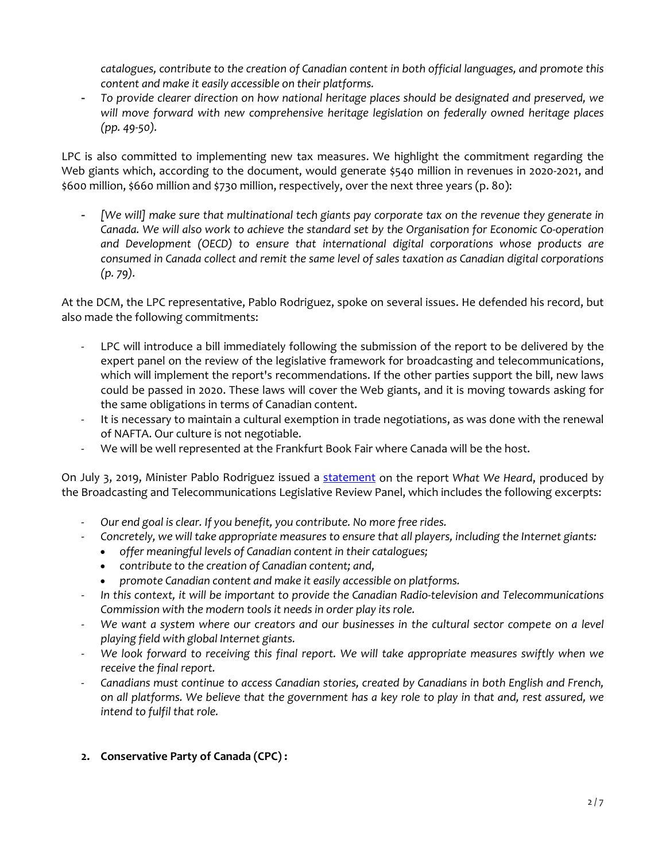*catalogues, contribute to the creation of Canadian content in both official languages, and promote this content and make it easily accessible on their platforms.*

- *To provide clearer direction on how national heritage places should be designated and preserved, we will move forward with new comprehensive heritage legislation on federally owned heritage places (pp. 49-50).*

LPC is also committed to implementing new tax measures. We highlight the commitment regarding the Web giants which, according to the document, would generate \$540 million in revenues in 2020-2021, and \$600 million, \$660 million and \$730 million, respectively, over the next three years (p. 80):

- *[We will] make sure that multinational tech giants pay corporate tax on the revenue they generate in Canada. We will also work to achieve the standard set by the Organisation for Economic Co-operation and Development (OECD) to ensure that international digital corporations whose products are consumed in Canada collect and remit the same level of sales taxation as Canadian digital corporations (p. 79).*

At the DCM, the LPC representative, Pablo Rodriguez, spoke on several issues. He defended his record, but also made the following commitments:

- LPC will introduce a bill immediately following the submission of the report to be delivered by the expert panel on the review of the legislative framework for broadcasting and telecommunications, which will implement the report's recommendations. If the other parties support the bill, new laws could be passed in 2020. These laws will cover the Web giants, and it is moving towards asking for the same obligations in terms of Canadian content.
- It is necessary to maintain a cultural exemption in trade negotiations, as was done with the renewal of NAFTA. Our culture is not negotiable.
- We will be well represented at the Frankfurt Book Fair where Canada will be the host.

On July 3, 2019, Minister Pablo Rodriguez issued a [statement](https://www.canada.ca/en/canadian-heritage/news/2019/07/statement-by-minister-rodriguez-on-the-broadcasting-and-telecommunications-legislative-review-what-we-heard-report.html) on the report *What We Heard*, produced by the Broadcasting and Telecommunications Legislative Review Panel, which includes the following excerpts:

- *Our end goal is clear. If you benefit, you contribute. No more free rides.*
- *Concretely, we will take appropriate measures to ensure that all players, including the Internet giants:*
	- *offer meaningful levels of Canadian content in their catalogues;*
	- *contribute to the creation of Canadian content; and,*
	- *promote Canadian content and make it easily accessible on platforms.*
- *In this context, it will be important to provide the Canadian Radio-television and Telecommunications Commission with the modern tools it needs in order play its role.*
- We want a system where our creators and our businesses in the cultural sector compete on a level *playing field with global Internet giants.*
- We look forward to receiving this final report. We will take appropriate measures swiftly when we *receive the final report.*
- *Canadians must continue to access Canadian stories, created by Canadians in both English and French, on all platforms. We believe that the government has a key role to play in that and, rest assured, we intend to fulfil that role.*

## **2. Conservative Party of Canada (CPC) :**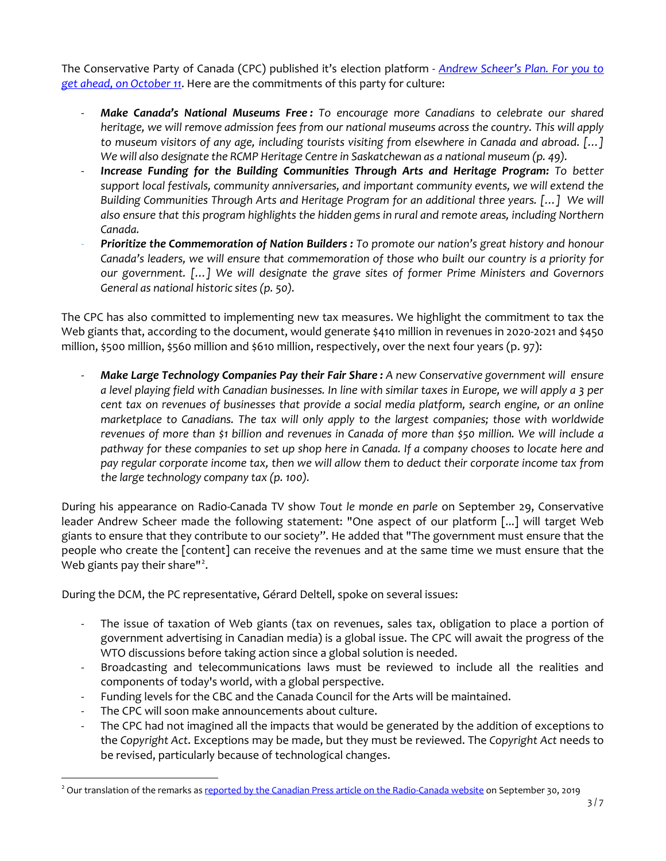The Conservative Party of Canada (CPC) published it's election platform - *[Andrew Scheer's Plan. For you to](https://cpc-platform.s3.ca-central-1.amazonaws.com/CPC_Platform_8.5x11_FINAL_EN_OCT14_web.pdf)  [get ahead, on October 11](https://cpc-platform.s3.ca-central-1.amazonaws.com/CPC_Platform_8.5x11_FINAL_EN_OCT14_web.pdf)*. Here are the commitments of this party for culture:

- *Make Canada's National Museums Free : To encourage more Canadians to celebrate our shared heritage, we will remove admission fees from our national museums across the country. This will apply to museum visitors of any age, including tourists visiting from elsewhere in Canada and abroad. […] We will also designate the RCMP Heritage Centre in Saskatchewan as a national museum (p. 49).*
- *Increase Funding for the Building Communities Through Arts and Heritage Program: To better support local festivals, community anniversaries, and important community events, we will extend the Building Communities Through Arts and Heritage Program for an additional three years. […] We will also ensure that this program highlights the hidden gems in rural and remote areas, including Northern Canada.*
- *Prioritize the Commemoration of Nation Builders : To promote our nation's great history and honour Canada's leaders, we will ensure that commemoration of those who built our country is a priority for our government. […] We will designate the grave sites of former Prime Ministers and Governors General as national historic sites (p. 50).*

The CPC has also committed to implementing new tax measures. We highlight the commitment to tax the Web giants that, according to the document, would generate \$410 million in revenues in 2020-2021 and \$450 million, \$500 million, \$560 million and \$610 million, respectively, over the next four years (p. 97):

- *Make Large Technology Companies Pay their Fair Share : A new Conservative government will ensure a level playing field with Canadian businesses. In line with similar taxes in Europe, we will apply a 3 per cent tax on revenues of businesses that provide a social media platform, search engine, or an online marketplace to Canadians. The tax will only apply to the largest companies; those with worldwide revenues of more than \$1 billion and revenues in Canada of more than \$50 million. We will include a pathway for these companies to set up shop here in Canada. If a company chooses to locate here and pay regular corporate income tax, then we will allow them to deduct their corporate income tax from the large technology company tax (p. 100).* 

During his appearance on Radio-Canada TV show *Tout le monde en parle* on September 29, Conservative leader Andrew Scheer made the following statement: "One aspect of our platform [...] will target Web giants to ensure that they contribute to our society". He added that "The government must ensure that the people who create the [content] can receive the revenues and at the same time we must ensure that the Web giants pay their share"<sup>[2](#page-2-0)</sup>.

During the DCM, the PC representative, Gérard Deltell, spoke on several issues:

- The issue of taxation of Web giants (tax on revenues, sales tax, obligation to place a portion of government advertising in Canadian media) is a global issue. The CPC will await the progress of the WTO discussions before taking action since a global solution is needed.
- Broadcasting and telecommunications laws must be reviewed to include all the realities and components of today's world, with a global perspective.
- Funding levels for the CBC and the Canada Council for the Arts will be maintained.
- The CPC will soon make announcements about culture.

 $\overline{\phantom{a}}$ 

- The CPC had not imagined all the impacts that would be generated by the addition of exceptions to the *Copyright Act*. Exceptions may be made, but they must be reviewed. The *Copyright Act* needs to be revised, particularly because of technological changes.

<span id="page-2-0"></span><sup>&</sup>lt;sup>2</sup> Our translation of the remarks a[s reported by the Canadian Press article on the Radio-Canada website](https://ici.radio-canada.ca/nouvelle/1323179/andrew-scheer-parti-conservateur-tout-le-monde-en-parle) on September 30, 2019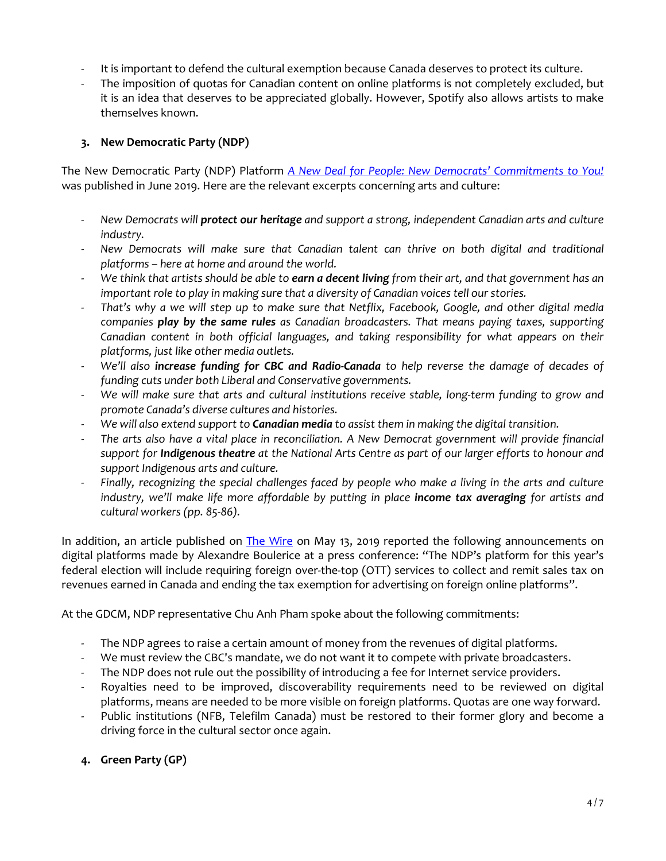- It is important to defend the cultural exemption because Canada deserves to protect its culture.
- The imposition of quotas for Canadian content on online platforms is not completely excluded, but it is an idea that deserves to be appreciated globally. However, Spotify also allows artists to make themselves known.

## **3. New Democratic Party (NDP)**

The New Democratic Party (NDP) Platform *[A New Deal for People: New Democrats' Commitments to You!](https://action.ndp.ca/page/-/2019/Q2/2019-06-19_Commitments-Doc_EN.pdf)* was published in June 2019. Here are the relevant excerpts concerning arts and culture:

- *New Democrats will protect our heritage and support a strong, independent Canadian arts and culture industry.*
- *New Democrats will make sure that Canadian talent can thrive on both digital and traditional platforms – here at home and around the world.*
- *We think that artists should be able to earn a decent living from their art, and that government has an important role to play in making sure that a diversity of Canadian voices tell our stories.*
- *That's why a we will step up to make sure that Netflix, Facebook, Google, and other digital media companies play by the same rules as Canadian broadcasters. That means paying taxes, supporting Canadian content in both official languages, and taking responsibility for what appears on their platforms, just like other media outlets.*
- *We'll also increase funding for CBC and Radio-Canada to help reverse the damage of decades of funding cuts under both Liberal and Conservative governments.*
- We will make sure that arts and cultural institutions receive stable, long-term funding to grow and *promote Canada's diverse cultures and histories.*
- *We will also extend support to Canadian media to assist them in making the digital transition.*
- *The arts also have a vital place in reconciliation. A New Democrat government will provide financial support for Indigenous theatre at the National Arts Centre as part of our larger efforts to honour and support Indigenous arts and culture.*
- *Finally, recognizing the special challenges faced by people who make a living in the arts and culture industry, we'll make life more affordable by putting in place income tax averaging for artists and cultural workers (pp. 85-86).*

In addition, an article published on [The Wire](https://thewirereport.ca/2019/05/13/ndp-calls-for-ott-sales-tax-end-of-ad-tax-exemption/) on May 13, 2019 reported the following announcements on digital platforms made by Alexandre Boulerice at a press conference: "The NDP's platform for this year's federal election will include requiring foreign over-the-top (OTT) services to collect and remit sales tax on revenues earned in Canada and ending the tax exemption for advertising on foreign online platforms".

At the GDCM, NDP representative Chu Anh Pham spoke about the following commitments:

- The NDP agrees to raise a certain amount of money from the revenues of digital platforms.
- We must review the CBC's mandate, we do not want it to compete with private broadcasters.
- The NDP does not rule out the possibility of introducing a fee for Internet service providers.
- Royalties need to be improved, discoverability requirements need to be reviewed on digital platforms, means are needed to be more visible on foreign platforms. Quotas are one way forward.
- Public institutions (NFB, Telefilm Canada) must be restored to their former glory and become a driving force in the cultural sector once again.

# **4. Green Party (GP)**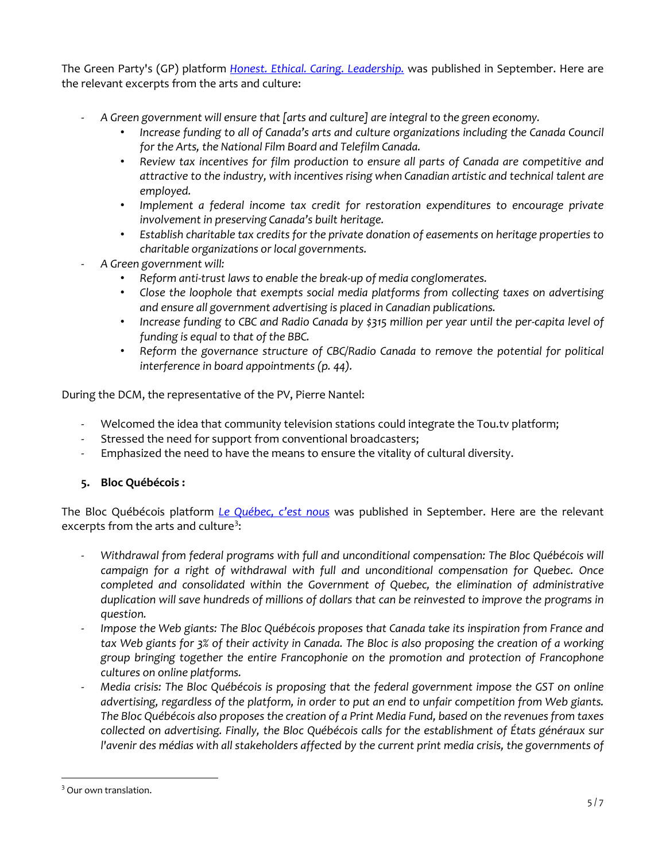The Green Party's (GP) platform *[Honest. Ethical. Caring. Leadership.](https://www.greenparty.ca/platform/pdf)* was published in September. Here are the relevant excerpts from the arts and culture:

- *A Green government will ensure that [arts and culture] are integral to the green economy.*
	- *Increase funding to all of Canada's arts and culture organizations including the Canada Council for the Arts, the National Film Board and Telefilm Canada.*
	- *Review tax incentives for film production to ensure all parts of Canada are competitive and attractive to the industry, with incentives rising when Canadian artistic and technical talent are employed.*
	- *Implement a federal income tax credit for restoration expenditures to encourage private involvement in preserving Canada's built heritage.*
	- *Establish charitable tax credits for the private donation of easements on heritage properties to charitable organizations or local governments.*
- *A Green government will:*
	- *Reform anti-trust laws to enable the break-up of media conglomerates.*
	- *Close the loophole that exempts social media platforms from collecting taxes on advertising and ensure all government advertising is placed in Canadian publications.*
	- *Increase funding to CBC and Radio Canada by \$315 million per year until the per-capita level of funding is equal to that of the BBC.*
	- Reform the governance structure of CBC/Radio Canada to remove the potential for political *interference in board appointments (p. 44).*

During the DCM, the representative of the PV, Pierre Nantel:

- Welcomed the idea that community television stations could integrate the Tou.tv platform;
- Stressed the need for support from conventional broadcasters;
- Emphasized the need to have the means to ensure the vitality of cultural diversity.
- **5. Bloc Québécois :**

The Bloc Québécois platform *[Le Québec, c'est nous](http://www.blocquebecois.org/wp-content/uploads/2019/09/Plateforme_Bloc2019_web-1.pdf)* was published in September. Here are the relevant excerpts from the arts and culture<sup>[3](#page-4-0)</sup>:

- *Withdrawal from federal programs with full and unconditional compensation: The Bloc Québécois will campaign for a right of withdrawal with full and unconditional compensation for Quebec. Once completed and consolidated within the Government of Quebec, the elimination of administrative duplication will save hundreds of millions of dollars that can be reinvested to improve the programs in question.*
- *Impose the Web giants: The Bloc Québécois proposes that Canada take its inspiration from France and tax Web giants for 3% of their activity in Canada. The Bloc is also proposing the creation of a working group bringing together the entire Francophonie on the promotion and protection of Francophone cultures on online platforms.*
- *Media crisis: The Bloc Québécois is proposing that the federal government impose the GST on online advertising, regardless of the platform, in order to put an end to unfair competition from Web giants. The Bloc Québécois also proposes the creation of a Print Media Fund, based on the revenues from taxes collected on advertising. Finally, the Bloc Québécois calls for the establishment of États généraux sur l'avenir des médias with all stakeholders affected by the current print media crisis, the governments of*

 $\overline{\phantom{a}}$ 

<span id="page-4-0"></span><sup>&</sup>lt;sup>3</sup> Our own translation.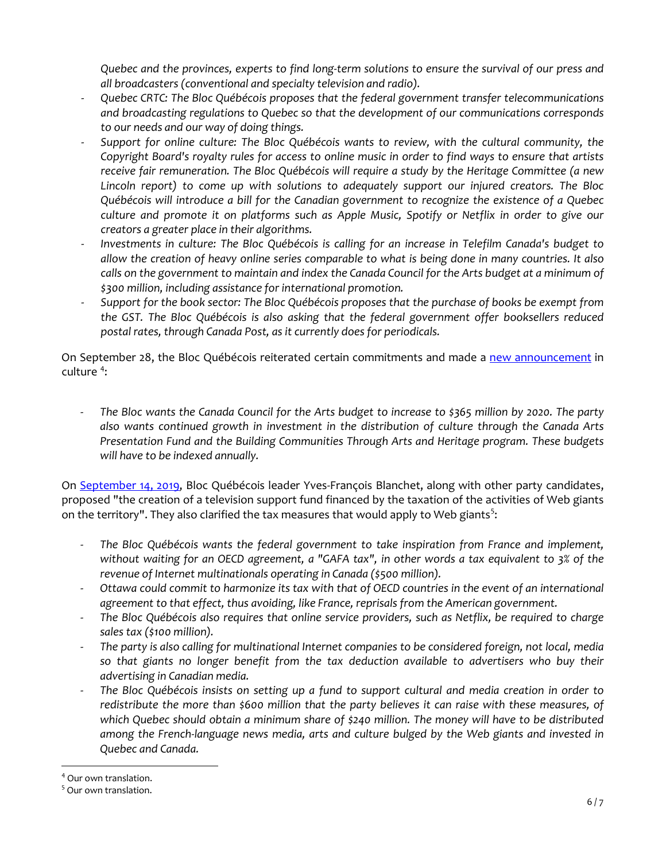*Quebec and the provinces, experts to find long-term solutions to ensure the survival of our press and all broadcasters (conventional and specialty television and radio).*

- *Quebec CRTC: The Bloc Québécois proposes that the federal government transfer telecommunications and broadcasting regulations to Quebec so that the development of our communications corresponds to our needs and our way of doing things.*
- *Support for online culture: The Bloc Québécois wants to review, with the cultural community, the Copyright Board's royalty rules for access to online music in order to find ways to ensure that artists receive fair remuneration. The Bloc Québécois will require a study by the Heritage Committee (a new Lincoln report) to come up with solutions to adequately support our injured creators. The Bloc Québécois will introduce a bill for the Canadian government to recognize the existence of a Quebec culture and promote it on platforms such as Apple Music, Spotify or Netflix in order to give our creators a greater place in their algorithms.*
- Investments in culture: The Bloc Québécois is calling for an increase in Telefilm Canada's budget to *allow the creation of heavy online series comparable to what is being done in many countries. It also calls on the government to maintain and index the Canada Council for the Arts budget at a minimum of \$300 million, including assistance for international promotion.*
- *Support for the book sector: The Bloc Québécois proposes that the purchase of books be exempt from the GST. The Bloc Québécois is also asking that the federal government offer booksellers reduced postal rates, through Canada Post, as it currently does for periodicals.*

On September 28, the Bloc Québécois reiterated certain commitments and made a [new announcement](https://www.blocquebecois.org/2019/09/le-bloc-poursuit-ses-annonces-en-culture/) in culture<sup>[4](#page-5-0)</sup>:

- *The Bloc wants the Canada Council for the Arts budget to increase to \$365 million by 2020. The party also wants continued growth in investment in the distribution of culture through the Canada Arts Presentation Fund and the Building Communities Through Arts and Heritage program. These budgets will have to be indexed annually.*

On [September 14, 2019,](http://www.blocquebecois.org/2019/09/tele-quebecoise-le-bloc-propose-au-moins-240-millions-pour-le-quebec-dans-un-fonds-de-soutien-a-la-creation-culturelle-et-mediatique/) Bloc Québécois leader Yves-François Blanchet, along with other party candidates, proposed "the creation of a television support fund financed by the taxation of the activities of Web giants on the territory". They also clarified the tax measures that would apply to Web giants<sup>[5](#page-5-1)</sup>:

- *The Bloc Québécois wants the federal government to take inspiration from France and implement, without waiting for an OECD agreement, a "GAFA tax", in other words a tax equivalent to 3% of the revenue of Internet multinationals operating in Canada (\$500 million).*
- *Ottawa could commit to harmonize its tax with that of OECD countries in the event of an international agreement to that effect, thus avoiding, like France, reprisals from the American government.*
- *The Bloc Québécois also requires that online service providers, such as Netflix, be required to charge sales tax (\$100 million).*
- *The party is also calling for multinational Internet companies to be considered foreign, not local, media so that giants no longer benefit from the tax deduction available to advertisers who buy their advertising in Canadian media.*
- *The Bloc Québécois insists on setting up a fund to support cultural and media creation in order to redistribute the more than \$600 million that the party believes it can raise with these measures, of which Quebec should obtain a minimum share of \$240 million. The money will have to be distributed among the French-language news media, arts and culture bulged by the Web giants and invested in Quebec and Canada.*

l

<span id="page-5-0"></span><sup>4</sup> Our own translation.

<span id="page-5-1"></span><sup>&</sup>lt;sup>5</sup> Our own translation.